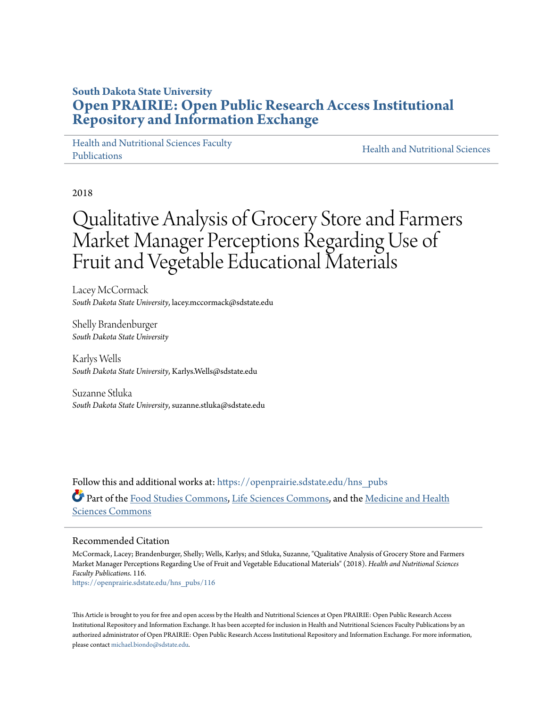## **South Dakota State University [Open PRAIRIE: Open Public Research Access Institutional](https://openprairie.sdstate.edu?utm_source=openprairie.sdstate.edu%2Fhns_pubs%2F116&utm_medium=PDF&utm_campaign=PDFCoverPages) [Repository and Information Exchange](https://openprairie.sdstate.edu?utm_source=openprairie.sdstate.edu%2Fhns_pubs%2F116&utm_medium=PDF&utm_campaign=PDFCoverPages)**

[Health and Nutritional Sciences Faculty](https://openprairie.sdstate.edu/hns_pubs?utm_source=openprairie.sdstate.edu%2Fhns_pubs%2F116&utm_medium=PDF&utm_campaign=PDFCoverPages) [Publications](https://openprairie.sdstate.edu/hns_pubs?utm_source=openprairie.sdstate.edu%2Fhns_pubs%2F116&utm_medium=PDF&utm_campaign=PDFCoverPages)

[Health and Nutritional Sciences](https://openprairie.sdstate.edu/hns?utm_source=openprairie.sdstate.edu%2Fhns_pubs%2F116&utm_medium=PDF&utm_campaign=PDFCoverPages)

2018

# Qualitative Analysis of Grocery Store and Farmers Market Manager Perceptions Regarding Use of Fruit and Vegetable Educational Materials

Lacey McCormack *South Dakota State University*, lacey.mccormack@sdstate.edu

Shelly Brandenburger *South Dakota State University*

Karlys Wells *South Dakota State University*, Karlys.Wells@sdstate.edu

Suzanne Stluka *South Dakota State University*, suzanne.stluka@sdstate.edu

Follow this and additional works at: [https://openprairie.sdstate.edu/hns\\_pubs](https://openprairie.sdstate.edu/hns_pubs?utm_source=openprairie.sdstate.edu%2Fhns_pubs%2F116&utm_medium=PDF&utm_campaign=PDFCoverPages) Part of the [Food Studies Commons,](http://network.bepress.com/hgg/discipline/1386?utm_source=openprairie.sdstate.edu%2Fhns_pubs%2F116&utm_medium=PDF&utm_campaign=PDFCoverPages) [Life Sciences Commons](http://network.bepress.com/hgg/discipline/1016?utm_source=openprairie.sdstate.edu%2Fhns_pubs%2F116&utm_medium=PDF&utm_campaign=PDFCoverPages), and the [Medicine and Health](http://network.bepress.com/hgg/discipline/648?utm_source=openprairie.sdstate.edu%2Fhns_pubs%2F116&utm_medium=PDF&utm_campaign=PDFCoverPages) [Sciences Commons](http://network.bepress.com/hgg/discipline/648?utm_source=openprairie.sdstate.edu%2Fhns_pubs%2F116&utm_medium=PDF&utm_campaign=PDFCoverPages)

## Recommended Citation

McCormack, Lacey; Brandenburger, Shelly; Wells, Karlys; and Stluka, Suzanne, "Qualitative Analysis of Grocery Store and Farmers Market Manager Perceptions Regarding Use of Fruit and Vegetable Educational Materials" (2018). *Health and Nutritional Sciences Faculty Publications*. 116.

[https://openprairie.sdstate.edu/hns\\_pubs/116](https://openprairie.sdstate.edu/hns_pubs/116?utm_source=openprairie.sdstate.edu%2Fhns_pubs%2F116&utm_medium=PDF&utm_campaign=PDFCoverPages)

This Article is brought to you for free and open access by the Health and Nutritional Sciences at Open PRAIRIE: Open Public Research Access Institutional Repository and Information Exchange. It has been accepted for inclusion in Health and Nutritional Sciences Faculty Publications by an authorized administrator of Open PRAIRIE: Open Public Research Access Institutional Repository and Information Exchange. For more information, please contact [michael.biondo@sdstate.edu](mailto:michael.biondo@sdstate.edu).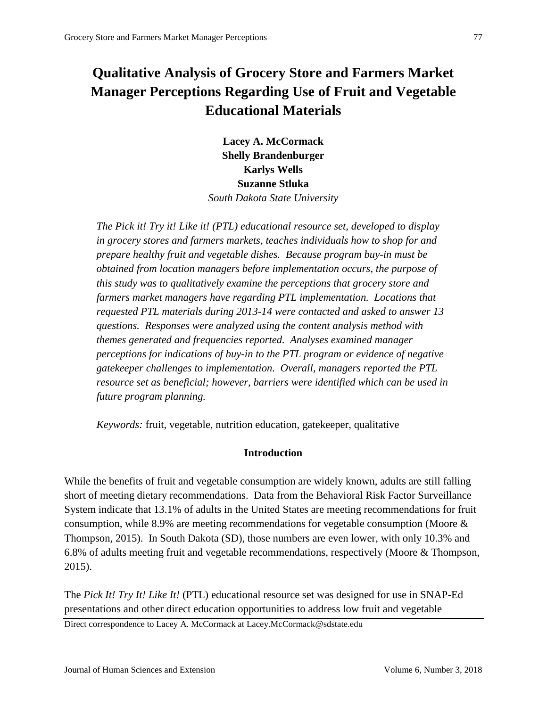## **Qualitative Analysis of Grocery Store and Farmers Market Manager Perceptions Regarding Use of Fruit and Vegetable Educational Materials**

**Lacey A. McCormack Shelly Brandenburger Karlys Wells Suzanne Stluka**  *South Dakota State University*

*The Pick it! Try it! Like it! (PTL) educational resource set, developed to display in grocery stores and farmers markets, teaches individuals how to shop for and prepare healthy fruit and vegetable dishes. Because program buy-in must be obtained from location managers before implementation occurs, the purpose of this study was to qualitatively examine the perceptions that grocery store and farmers market managers have regarding PTL implementation. Locations that requested PTL materials during 2013-14 were contacted and asked to answer 13 questions. Responses were analyzed using the content analysis method with themes generated and frequencies reported. Analyses examined manager perceptions for indications of buy-in to the PTL program or evidence of negative gatekeeper challenges to implementation. Overall, managers reported the PTL resource set as beneficial; however, barriers were identified which can be used in future program planning.*

*Keywords:* fruit, vegetable, nutrition education, gatekeeper, qualitative

## **Introduction**

While the benefits of fruit and vegetable consumption are widely known, adults are still falling short of meeting dietary recommendations. Data from the Behavioral Risk Factor Surveillance System indicate that 13.1% of adults in the United States are meeting recommendations for fruit consumption, while 8.9% are meeting recommendations for vegetable consumption (Moore & Thompson, 2015). In South Dakota (SD), those numbers are even lower, with only 10.3% and 6.8% of adults meeting fruit and vegetable recommendations, respectively (Moore & Thompson, 2015).

The *Pick It! Try It! Like It!* (PTL) educational resource set was designed for use in SNAP-Ed presentations and other direct education opportunities to address low fruit and vegetable

Direct correspondence to Lacey A. McCormack at Lacey.McCormack@sdstate.edu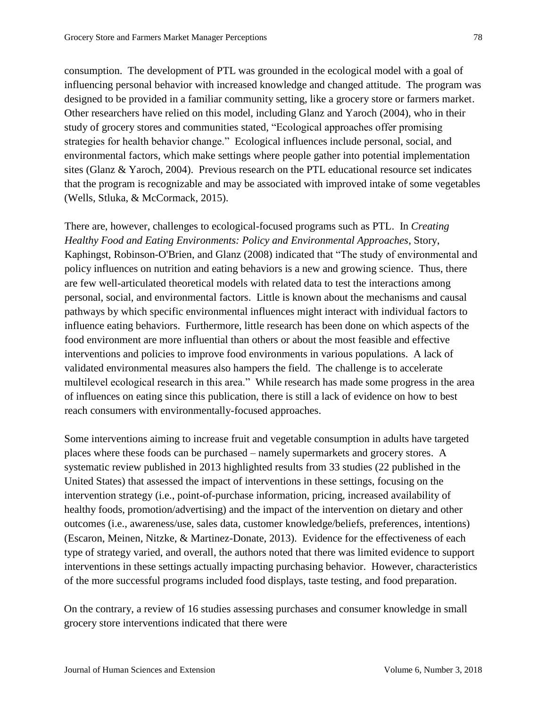consumption. The development of PTL was grounded in the ecological model with a goal of influencing personal behavior with increased knowledge and changed attitude. The program was designed to be provided in a familiar community setting, like a grocery store or farmers market. Other researchers have relied on this model, including Glanz and Yaroch (2004), who in their study of grocery stores and communities stated, "Ecological approaches offer promising strategies for health behavior change." Ecological influences include personal, social, and environmental factors, which make settings where people gather into potential implementation

sites (Glanz & Yaroch, 2004). Previous research on the PTL educational resource set indicates that the program is recognizable and may be associated with improved intake of some vegetables (Wells, Stluka, & McCormack, 2015).

There are, however, challenges to ecological-focused programs such as PTL. In *Creating Healthy Food and Eating Environments: Policy and Environmental Approaches*, Story, Kaphingst, Robinson-O'Brien, and Glanz (2008) indicated that "The study of environmental and policy influences on nutrition and eating behaviors is a new and growing science. Thus, there are few well-articulated theoretical models with related data to test the interactions among personal, social, and environmental factors. Little is known about the mechanisms and causal pathways by which specific environmental influences might interact with individual factors to influence eating behaviors. Furthermore, little research has been done on which aspects of the food environment are more influential than others or about the most feasible and effective interventions and policies to improve food environments in various populations. A lack of validated environmental measures also hampers the field. The challenge is to accelerate multilevel ecological research in this area." While research has made some progress in the area of influences on eating since this publication, there is still a lack of evidence on how to best reach consumers with environmentally-focused approaches.

Some interventions aiming to increase fruit and vegetable consumption in adults have targeted places where these foods can be purchased – namely supermarkets and grocery stores. A systematic review published in 2013 highlighted results from 33 studies (22 published in the United States) that assessed the impact of interventions in these settings, focusing on the intervention strategy (i.e., point-of-purchase information, pricing, increased availability of healthy foods, promotion/advertising) and the impact of the intervention on dietary and other outcomes (i.e., awareness/use, sales data, customer knowledge/beliefs, preferences, intentions) (Escaron, Meinen, Nitzke, & Martinez-Donate, 2013). Evidence for the effectiveness of each type of strategy varied, and overall, the authors noted that there was limited evidence to support interventions in these settings actually impacting purchasing behavior. However, characteristics of the more successful programs included food displays, taste testing, and food preparation.

On the contrary, a review of 16 studies assessing purchases and consumer knowledge in small grocery store interventions indicated that there were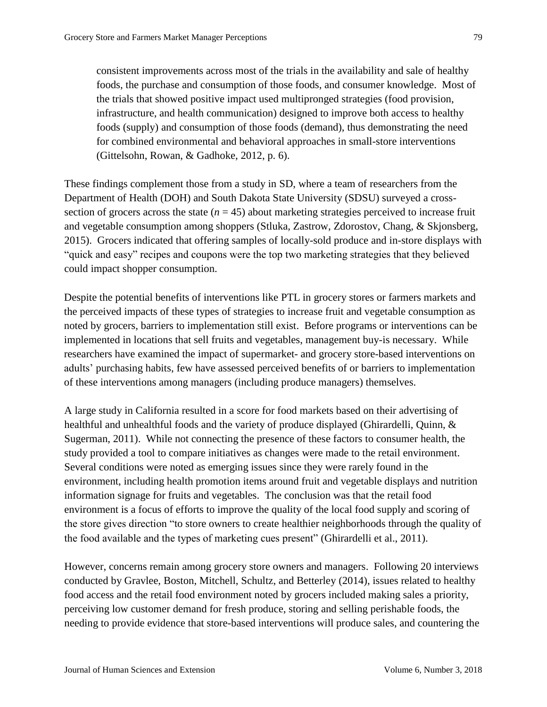consistent improvements across most of the trials in the availability and sale of healthy foods, the purchase and consumption of those foods, and consumer knowledge. Most of the trials that showed positive impact used multipronged strategies (food provision, infrastructure, and health communication) designed to improve both access to healthy foods (supply) and consumption of those foods (demand), thus demonstrating the need for combined environmental and behavioral approaches in small-store interventions (Gittelsohn, Rowan, & Gadhoke, 2012, p. 6).

These findings complement those from a study in SD, where a team of researchers from the Department of Health (DOH) and South Dakota State University (SDSU) surveyed a crosssection of grocers across the state  $(n = 45)$  about marketing strategies perceived to increase fruit and vegetable consumption among shoppers (Stluka, Zastrow, Zdorostov, Chang, & Skjonsberg, 2015). Grocers indicated that offering samples of locally-sold produce and in-store displays with "quick and easy" recipes and coupons were the top two marketing strategies that they believed could impact shopper consumption.

Despite the potential benefits of interventions like PTL in grocery stores or farmers markets and the perceived impacts of these types of strategies to increase fruit and vegetable consumption as noted by grocers, barriers to implementation still exist. Before programs or interventions can be implemented in locations that sell fruits and vegetables, management buy-is necessary. While researchers have examined the impact of supermarket- and grocery store-based interventions on adults' purchasing habits, few have assessed perceived benefits of or barriers to implementation of these interventions among managers (including produce managers) themselves.

A large study in California resulted in a score for food markets based on their advertising of healthful and unhealthful foods and the variety of produce displayed (Ghirardelli, Quinn, & Sugerman, 2011). While not connecting the presence of these factors to consumer health, the study provided a tool to compare initiatives as changes were made to the retail environment. Several conditions were noted as emerging issues since they were rarely found in the environment, including health promotion items around fruit and vegetable displays and nutrition information signage for fruits and vegetables. The conclusion was that the retail food environment is a focus of efforts to improve the quality of the local food supply and scoring of the store gives direction "to store owners to create healthier neighborhoods through the quality of the food available and the types of marketing cues present" (Ghirardelli et al., 2011).

However, concerns remain among grocery store owners and managers. Following 20 interviews conducted by Gravlee, Boston, Mitchell, Schultz, and Betterley (2014), issues related to healthy food access and the retail food environment noted by grocers included making sales a priority, perceiving low customer demand for fresh produce, storing and selling perishable foods, the needing to provide evidence that store-based interventions will produce sales, and countering the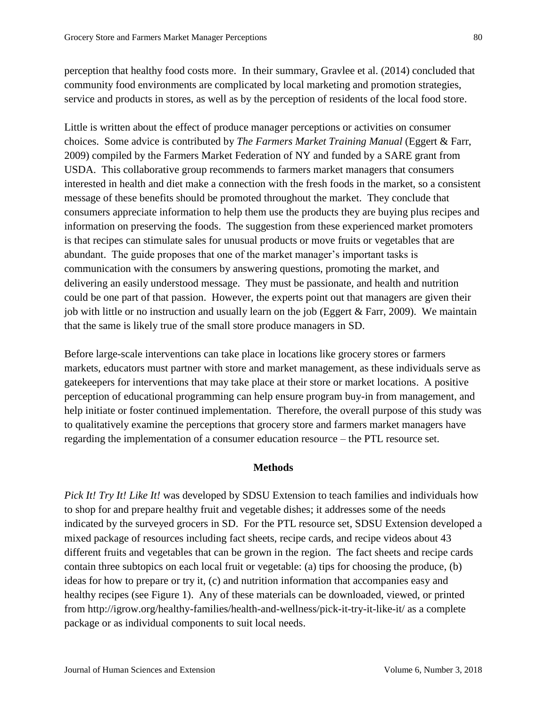perception that healthy food costs more. In their summary, Gravlee et al. (2014) concluded that community food environments are complicated by local marketing and promotion strategies, service and products in stores, as well as by the perception of residents of the local food store.

Little is written about the effect of produce manager perceptions or activities on consumer choices. Some advice is contributed by *The Farmers Market Training Manual* (Eggert & Farr, 2009) compiled by the Farmers Market Federation of NY and funded by a SARE grant from USDA. This collaborative group recommends to farmers market managers that consumers interested in health and diet make a connection with the fresh foods in the market, so a consistent message of these benefits should be promoted throughout the market. They conclude that consumers appreciate information to help them use the products they are buying plus recipes and information on preserving the foods. The suggestion from these experienced market promoters is that recipes can stimulate sales for unusual products or move fruits or vegetables that are abundant. The guide proposes that one of the market manager's important tasks is communication with the consumers by answering questions, promoting the market, and delivering an easily understood message. They must be passionate, and health and nutrition could be one part of that passion. However, the experts point out that managers are given their job with little or no instruction and usually learn on the job (Eggert & Farr, 2009). We maintain that the same is likely true of the small store produce managers in SD.

Before large-scale interventions can take place in locations like grocery stores or farmers markets, educators must partner with store and market management, as these individuals serve as gatekeepers for interventions that may take place at their store or market locations. A positive perception of educational programming can help ensure program buy-in from management, and help initiate or foster continued implementation. Therefore, the overall purpose of this study was to qualitatively examine the perceptions that grocery store and farmers market managers have regarding the implementation of a consumer education resource – the PTL resource set.

## **Methods**

*Pick It! Try It! Like It!* was developed by SDSU Extension to teach families and individuals how to shop for and prepare healthy fruit and vegetable dishes; it addresses some of the needs indicated by the surveyed grocers in SD. For the PTL resource set, SDSU Extension developed a mixed package of resources including fact sheets, recipe cards, and recipe videos about 43 different fruits and vegetables that can be grown in the region. The fact sheets and recipe cards contain three subtopics on each local fruit or vegetable: (a) tips for choosing the produce, (b) ideas for how to prepare or try it, (c) and nutrition information that accompanies easy and healthy recipes (see Figure 1). Any of these materials can be downloaded, viewed, or printed from http://igrow.org/healthy-families/health-and-wellness/pick-it-try-it-like-it/ as a complete package or as individual components to suit local needs.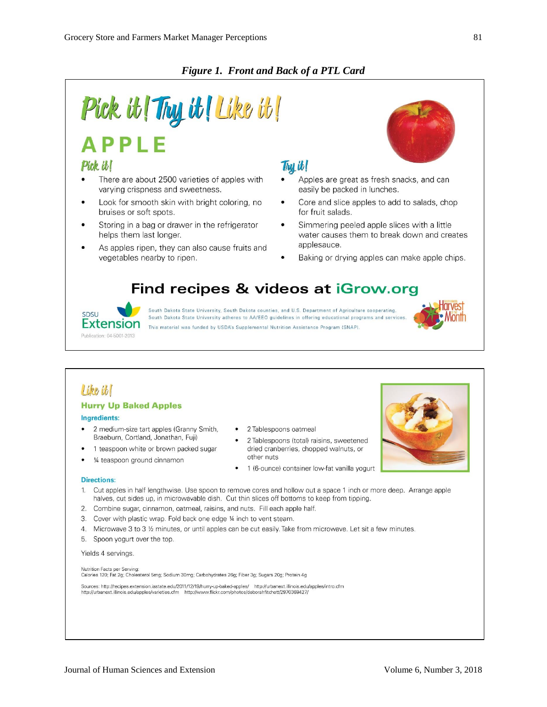## *Figure 1. Front and Back of a PTL Card*

### Pick it! Thy it! Like it! **APPLE** Pick it! Thu it! There are about 2500 varieties of apples with Apples are great as fresh snacks, and can varying crispness and sweetness. easily be packed in lunches. Look for smooth skin with bright coloring, no Core and slice apples to add to salads, chop bruises or soft spots. for fruit salads. Storing in a bag or drawer in the refrigerator Simmering peeled apple slices with a little water causes them to break down and creates helps them last longer. applesauce. As apples ripen, they can also cause fruits and vegetables nearby to ripen. Baking or drying apples can make apple chips. Find recipes & videos at iGrow.org South Dakota State University, South Dakota counties, and U.S. Department of Agriculture cooperating. SDSU South Dakota State University adheres to AA/EEO guidelines in offering educational programs and services **Extension** This material was funded by USDA's Supplemental Nutrition Assistance Program (SNAP) Publication: 04-5001-2013

## Like it

## **Hurry Up Baked Apples**

#### **Ingredients:**

- 2 medium-size tart apples (Granny Smith, Braeburn, Cortland, Jonathan, Fuji)
- 1 teaspoon white or brown packed sugar
- 1/4 teaspoon ground cinnamon
- 2 Tablespoons oatmeal
- 2 Tablespoons (total) raisins, sweetened dried cranberries, chopped walnuts, or other nuts
- 1 (6-ounce) container low-fat vanilla yogurt

#### **Directions:**

- Cut apples in half lengthwise. Use spoon to remove cores and hollow out a space 1 inch or more deep. Arrange apple  $1.$ halves, cut sides up, in microwavable dish. Cut thin slices off bottoms to keep from tipping.
- 2. Combine sugar, cinnamon, oatmeal, raisins, and nuts. Fill each apple half.
- 3. Cover with plastic wrap. Fold back one edge 1/4 inch to vent steam.
- 4. Microwave 3 to 3 ½ minutes, or until apples can be cut easily. Take from microwave. Let sit a few minutes.
- 5. Spoon yogurt over the top.

#### Yields 4 servings.

Nutrition Facts per Serving: Calories 120; Fat 2g; Cholesterol 5mg; Sodium 30mg; Carbohydrates 26g; Fiber 3g; Sugars 20g; Protein 4g

Sources: http://recipes.extension.iastate.edu/2011/12/19/hurry-up-baked-apples/ http://urbanext.illinois.edu/apples/intro.cfm<br>http://urbanext.illinois.edu/apples/varieties.cfm http://www.flickr.com/photos/deborahfitchett/2

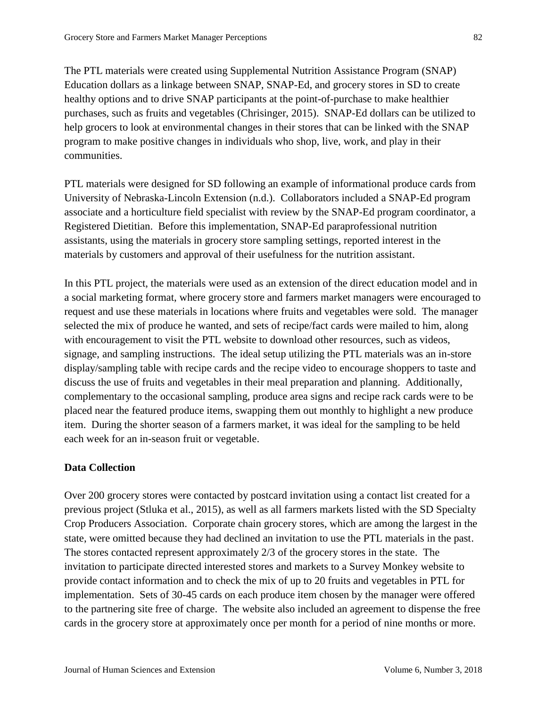The PTL materials were created using Supplemental Nutrition Assistance Program (SNAP) Education dollars as a linkage between SNAP, SNAP-Ed, and grocery stores in SD to create healthy options and to drive SNAP participants at the point-of-purchase to make healthier purchases, such as fruits and vegetables (Chrisinger, 2015). SNAP-Ed dollars can be utilized to help grocers to look at environmental changes in their stores that can be linked with the SNAP program to make positive changes in individuals who shop, live, work, and play in their communities.

PTL materials were designed for SD following an example of informational produce cards from University of Nebraska-Lincoln Extension (n.d.). Collaborators included a SNAP-Ed program associate and a horticulture field specialist with review by the SNAP-Ed program coordinator, a Registered Dietitian. Before this implementation, SNAP-Ed paraprofessional nutrition assistants, using the materials in grocery store sampling settings, reported interest in the materials by customers and approval of their usefulness for the nutrition assistant.

In this PTL project, the materials were used as an extension of the direct education model and in a social marketing format, where grocery store and farmers market managers were encouraged to request and use these materials in locations where fruits and vegetables were sold. The manager selected the mix of produce he wanted, and sets of recipe/fact cards were mailed to him, along with encouragement to visit the PTL website to download other resources, such as videos, signage, and sampling instructions. The ideal setup utilizing the PTL materials was an in-store display/sampling table with recipe cards and the recipe video to encourage shoppers to taste and discuss the use of fruits and vegetables in their meal preparation and planning. Additionally, complementary to the occasional sampling, produce area signs and recipe rack cards were to be placed near the featured produce items, swapping them out monthly to highlight a new produce item. During the shorter season of a farmers market, it was ideal for the sampling to be held each week for an in-season fruit or vegetable.

## **Data Collection**

Over 200 grocery stores were contacted by postcard invitation using a contact list created for a previous project (Stluka et al., 2015), as well as all farmers markets listed with the SD Specialty Crop Producers Association. Corporate chain grocery stores, which are among the largest in the state, were omitted because they had declined an invitation to use the PTL materials in the past. The stores contacted represent approximately 2/3 of the grocery stores in the state. The invitation to participate directed interested stores and markets to a Survey Monkey website to provide contact information and to check the mix of up to 20 fruits and vegetables in PTL for implementation. Sets of 30-45 cards on each produce item chosen by the manager were offered to the partnering site free of charge. The website also included an agreement to dispense the free cards in the grocery store at approximately once per month for a period of nine months or more.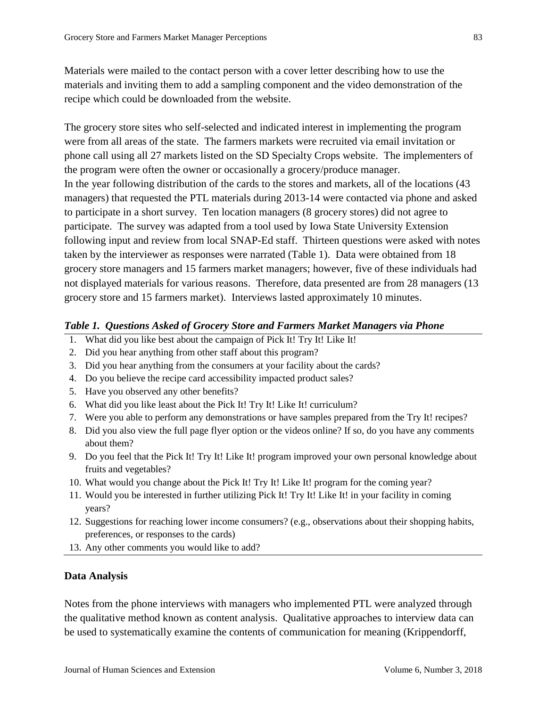Materials were mailed to the contact person with a cover letter describing how to use the materials and inviting them to add a sampling component and the video demonstration of the recipe which could be downloaded from the website.

The grocery store sites who self-selected and indicated interest in implementing the program were from all areas of the state. The farmers markets were recruited via email invitation or phone call using all 27 markets listed on the SD Specialty Crops website. The implementers of the program were often the owner or occasionally a grocery/produce manager. In the year following distribution of the cards to the stores and markets, all of the locations (43 managers) that requested the PTL materials during 2013-14 were contacted via phone and asked to participate in a short survey. Ten location managers (8 grocery stores) did not agree to participate. The survey was adapted from a tool used by Iowa State University Extension following input and review from local SNAP-Ed staff. Thirteen questions were asked with notes taken by the interviewer as responses were narrated (Table 1). Data were obtained from 18 grocery store managers and 15 farmers market managers; however, five of these individuals had not displayed materials for various reasons. Therefore, data presented are from 28 managers (13 grocery store and 15 farmers market). Interviews lasted approximately 10 minutes.

## *Table 1. Questions Asked of Grocery Store and Farmers Market Managers via Phone*

- 1. What did you like best about the campaign of Pick It! Try It! Like It!
- 2. Did you hear anything from other staff about this program?
- 3. Did you hear anything from the consumers at your facility about the cards?
- 4. Do you believe the recipe card accessibility impacted product sales?
- 5. Have you observed any other benefits?
- 6. What did you like least about the Pick It! Try It! Like It! curriculum?
- 7. Were you able to perform any demonstrations or have samples prepared from the Try It! recipes?
- 8. Did you also view the full page flyer option or the videos online? If so, do you have any comments about them?
- 9. Do you feel that the Pick It! Try It! Like It! program improved your own personal knowledge about fruits and vegetables?
- 10. What would you change about the Pick It! Try It! Like It! program for the coming year?
- 11. Would you be interested in further utilizing Pick It! Try It! Like It! in your facility in coming years?
- 12. Suggestions for reaching lower income consumers? (e.g., observations about their shopping habits, preferences, or responses to the cards)
- 13. Any other comments you would like to add?

## **Data Analysis**

Notes from the phone interviews with managers who implemented PTL were analyzed through the qualitative method known as content analysis. Qualitative approaches to interview data can be used to systematically examine the contents of communication for meaning (Krippendorff,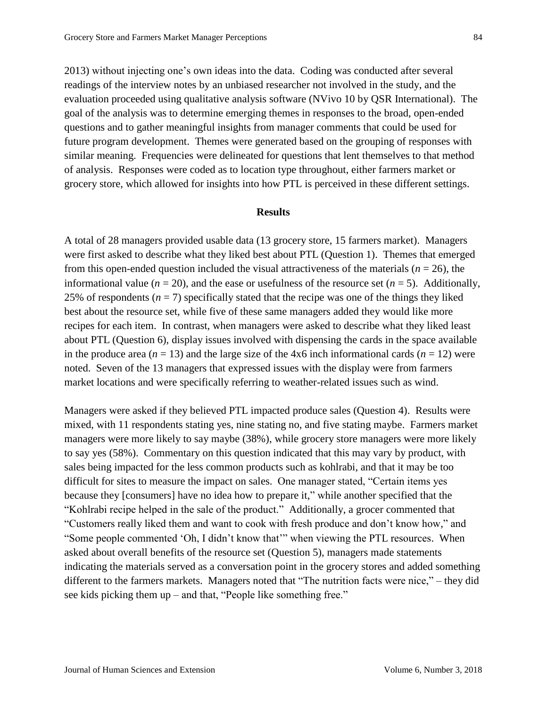2013) without injecting one's own ideas into the data. Coding was conducted after several readings of the interview notes by an unbiased researcher not involved in the study, and the evaluation proceeded using qualitative analysis software (NVivo 10 by QSR International). The goal of the analysis was to determine emerging themes in responses to the broad, open-ended questions and to gather meaningful insights from manager comments that could be used for future program development. Themes were generated based on the grouping of responses with similar meaning. Frequencies were delineated for questions that lent themselves to that method of analysis. Responses were coded as to location type throughout, either farmers market or grocery store, which allowed for insights into how PTL is perceived in these different settings.

### **Results**

A total of 28 managers provided usable data (13 grocery store, 15 farmers market). Managers were first asked to describe what they liked best about PTL (Question 1). Themes that emerged from this open-ended question included the visual attractiveness of the materials ( $n = 26$ ), the informational value ( $n = 20$ ), and the ease or usefulness of the resource set ( $n = 5$ ). Additionally, 25% of respondents  $(n = 7)$  specifically stated that the recipe was one of the things they liked best about the resource set, while five of these same managers added they would like more recipes for each item. In contrast, when managers were asked to describe what they liked least about PTL (Question 6), display issues involved with dispensing the cards in the space available in the produce area  $(n = 13)$  and the large size of the  $4x6$  inch informational cards  $(n = 12)$  were noted. Seven of the 13 managers that expressed issues with the display were from farmers market locations and were specifically referring to weather-related issues such as wind.

Managers were asked if they believed PTL impacted produce sales (Question 4). Results were mixed, with 11 respondents stating yes, nine stating no, and five stating maybe. Farmers market managers were more likely to say maybe (38%), while grocery store managers were more likely to say yes (58%). Commentary on this question indicated that this may vary by product, with sales being impacted for the less common products such as kohlrabi, and that it may be too difficult for sites to measure the impact on sales. One manager stated, "Certain items yes because they [consumers] have no idea how to prepare it," while another specified that the "Kohlrabi recipe helped in the sale of the product." Additionally, a grocer commented that "Customers really liked them and want to cook with fresh produce and don't know how," and "Some people commented 'Oh, I didn't know that'" when viewing the PTL resources. When asked about overall benefits of the resource set (Question 5), managers made statements indicating the materials served as a conversation point in the grocery stores and added something different to the farmers markets. Managers noted that "The nutrition facts were nice," – they did see kids picking them up – and that, "People like something free."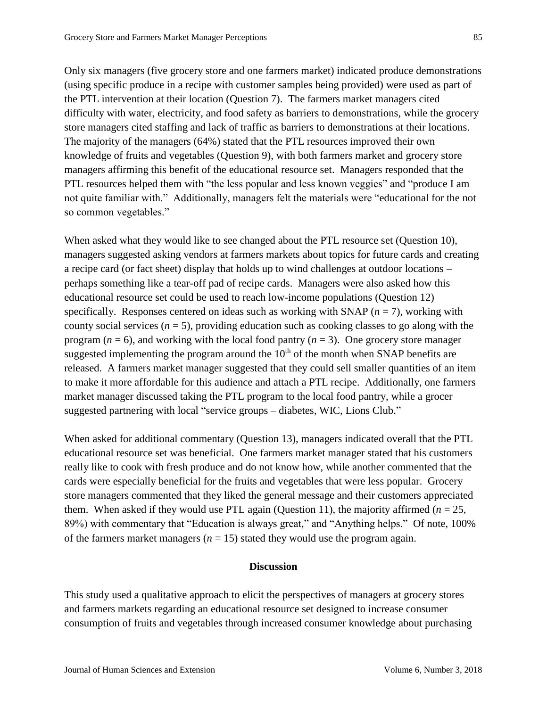Only six managers (five grocery store and one farmers market) indicated produce demonstrations (using specific produce in a recipe with customer samples being provided) were used as part of the PTL intervention at their location (Question 7). The farmers market managers cited difficulty with water, electricity, and food safety as barriers to demonstrations, while the grocery store managers cited staffing and lack of traffic as barriers to demonstrations at their locations. The majority of the managers (64%) stated that the PTL resources improved their own knowledge of fruits and vegetables (Question 9), with both farmers market and grocery store managers affirming this benefit of the educational resource set. Managers responded that the PTL resources helped them with "the less popular and less known veggies" and "produce I am not quite familiar with." Additionally, managers felt the materials were "educational for the not so common vegetables."

When asked what they would like to see changed about the PTL resource set (Question 10), managers suggested asking vendors at farmers markets about topics for future cards and creating a recipe card (or fact sheet) display that holds up to wind challenges at outdoor locations – perhaps something like a tear-off pad of recipe cards. Managers were also asked how this educational resource set could be used to reach low-income populations (Question 12) specifically. Responses centered on ideas such as working with SNAP  $(n = 7)$ , working with county social services  $(n = 5)$ , providing education such as cooking classes to go along with the program ( $n = 6$ ), and working with the local food pantry ( $n = 3$ ). One grocery store manager suggested implementing the program around the  $10<sup>th</sup>$  of the month when SNAP benefits are released. A farmers market manager suggested that they could sell smaller quantities of an item to make it more affordable for this audience and attach a PTL recipe. Additionally, one farmers market manager discussed taking the PTL program to the local food pantry, while a grocer suggested partnering with local "service groups – diabetes, WIC, Lions Club."

When asked for additional commentary (Question 13), managers indicated overall that the PTL educational resource set was beneficial. One farmers market manager stated that his customers really like to cook with fresh produce and do not know how, while another commented that the cards were especially beneficial for the fruits and vegetables that were less popular. Grocery store managers commented that they liked the general message and their customers appreciated them. When asked if they would use PTL again (Question 11), the majority affirmed  $(n = 25)$ , 89%) with commentary that "Education is always great," and "Anything helps." Of note, 100% of the farmers market managers  $(n = 15)$  stated they would use the program again.

## **Discussion**

This study used a qualitative approach to elicit the perspectives of managers at grocery stores and farmers markets regarding an educational resource set designed to increase consumer consumption of fruits and vegetables through increased consumer knowledge about purchasing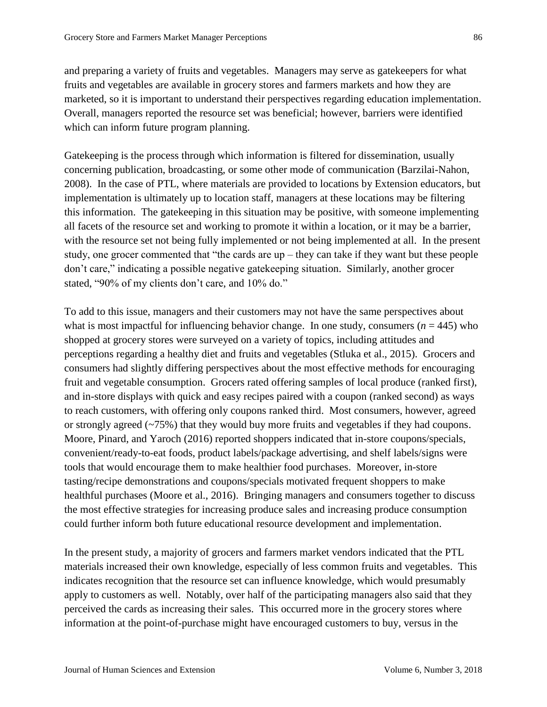and preparing a variety of fruits and vegetables. Managers may serve as gatekeepers for what fruits and vegetables are available in grocery stores and farmers markets and how they are marketed, so it is important to understand their perspectives regarding education implementation. Overall, managers reported the resource set was beneficial; however, barriers were identified which can inform future program planning.

Gatekeeping is the process through which information is filtered for dissemination, usually concerning publication, broadcasting, or some other mode of communication (Barzilai-Nahon, 2008). In the case of PTL, where materials are provided to locations by Extension educators, but implementation is ultimately up to location staff, managers at these locations may be filtering this information. The gatekeeping in this situation may be positive, with someone implementing all facets of the resource set and working to promote it within a location, or it may be a barrier, with the resource set not being fully implemented or not being implemented at all. In the present study, one grocer commented that "the cards are up – they can take if they want but these people don't care," indicating a possible negative gatekeeping situation. Similarly, another grocer stated, "90% of my clients don't care, and 10% do."

To add to this issue, managers and their customers may not have the same perspectives about what is most impactful for influencing behavior change. In one study, consumers  $(n = 445)$  who shopped at grocery stores were surveyed on a variety of topics, including attitudes and perceptions regarding a healthy diet and fruits and vegetables (Stluka et al., 2015). Grocers and consumers had slightly differing perspectives about the most effective methods for encouraging fruit and vegetable consumption. Grocers rated offering samples of local produce (ranked first), and in-store displays with quick and easy recipes paired with a coupon (ranked second) as ways to reach customers, with offering only coupons ranked third. Most consumers, however, agreed or strongly agreed  $(-75%)$  that they would buy more fruits and vegetables if they had coupons. Moore, Pinard, and Yaroch (2016) reported shoppers indicated that in-store coupons/specials, convenient/ready-to-eat foods, product labels/package advertising, and shelf labels/signs were tools that would encourage them to make healthier food purchases. Moreover, in-store tasting/recipe demonstrations and coupons/specials motivated frequent shoppers to make healthful purchases (Moore et al., 2016). Bringing managers and consumers together to discuss the most effective strategies for increasing produce sales and increasing produce consumption could further inform both future educational resource development and implementation.

In the present study, a majority of grocers and farmers market vendors indicated that the PTL materials increased their own knowledge, especially of less common fruits and vegetables. This indicates recognition that the resource set can influence knowledge, which would presumably apply to customers as well. Notably, over half of the participating managers also said that they perceived the cards as increasing their sales. This occurred more in the grocery stores where information at the point-of-purchase might have encouraged customers to buy, versus in the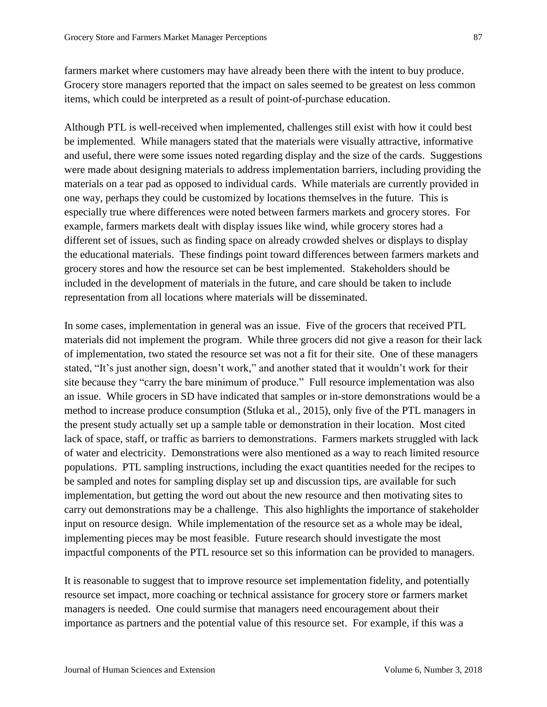farmers market where customers may have already been there with the intent to buy produce. Grocery store managers reported that the impact on sales seemed to be greatest on less common items, which could be interpreted as a result of point-of-purchase education.

Although PTL is well-received when implemented, challenges still exist with how it could best be implemented. While managers stated that the materials were visually attractive, informative and useful, there were some issues noted regarding display and the size of the cards. Suggestions were made about designing materials to address implementation barriers, including providing the materials on a tear pad as opposed to individual cards. While materials are currently provided in one way, perhaps they could be customized by locations themselves in the future. This is especially true where differences were noted between farmers markets and grocery stores. For example, farmers markets dealt with display issues like wind, while grocery stores had a different set of issues, such as finding space on already crowded shelves or displays to display the educational materials. These findings point toward differences between farmers markets and grocery stores and how the resource set can be best implemented. Stakeholders should be included in the development of materials in the future, and care should be taken to include representation from all locations where materials will be disseminated.

In some cases, implementation in general was an issue. Five of the grocers that received PTL materials did not implement the program. While three grocers did not give a reason for their lack of implementation, two stated the resource set was not a fit for their site. One of these managers stated, "It's just another sign, doesn't work," and another stated that it wouldn't work for their site because they "carry the bare minimum of produce." Full resource implementation was also an issue. While grocers in SD have indicated that samples or in-store demonstrations would be a method to increase produce consumption (Stluka et al., 2015), only five of the PTL managers in the present study actually set up a sample table or demonstration in their location. Most cited lack of space, staff, or traffic as barriers to demonstrations. Farmers markets struggled with lack of water and electricity. Demonstrations were also mentioned as a way to reach limited resource populations. PTL sampling instructions, including the exact quantities needed for the recipes to be sampled and notes for sampling display set up and discussion tips, are available for such implementation, but getting the word out about the new resource and then motivating sites to carry out demonstrations may be a challenge. This also highlights the importance of stakeholder input on resource design. While implementation of the resource set as a whole may be ideal, implementing pieces may be most feasible. Future research should investigate the most impactful components of the PTL resource set so this information can be provided to managers.

It is reasonable to suggest that to improve resource set implementation fidelity, and potentially resource set impact, more coaching or technical assistance for grocery store or farmers market managers is needed. One could surmise that managers need encouragement about their importance as partners and the potential value of this resource set. For example, if this was a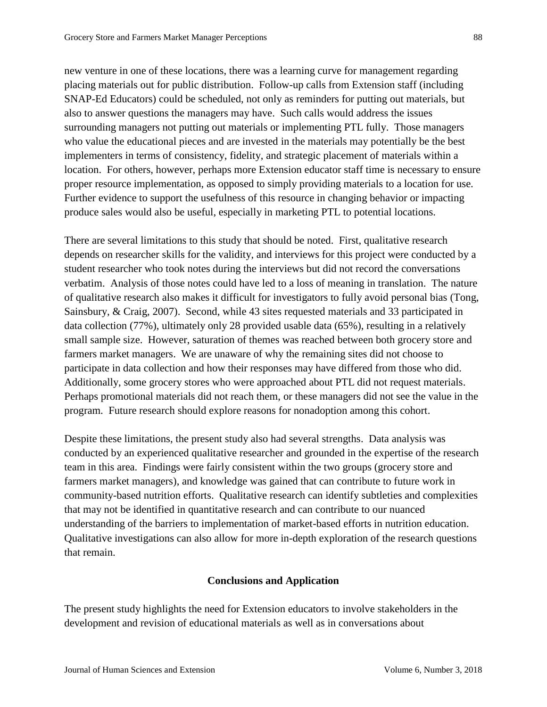new venture in one of these locations, there was a learning curve for management regarding placing materials out for public distribution. Follow-up calls from Extension staff (including SNAP-Ed Educators) could be scheduled, not only as reminders for putting out materials, but also to answer questions the managers may have. Such calls would address the issues surrounding managers not putting out materials or implementing PTL fully. Those managers who value the educational pieces and are invested in the materials may potentially be the best implementers in terms of consistency, fidelity, and strategic placement of materials within a location. For others, however, perhaps more Extension educator staff time is necessary to ensure proper resource implementation, as opposed to simply providing materials to a location for use. Further evidence to support the usefulness of this resource in changing behavior or impacting produce sales would also be useful, especially in marketing PTL to potential locations.

There are several limitations to this study that should be noted. First, qualitative research depends on researcher skills for the validity, and interviews for this project were conducted by a student researcher who took notes during the interviews but did not record the conversations verbatim. Analysis of those notes could have led to a loss of meaning in translation. The nature of qualitative research also makes it difficult for investigators to fully avoid personal bias (Tong, Sainsbury, & Craig, 2007). Second, while 43 sites requested materials and 33 participated in data collection (77%), ultimately only 28 provided usable data (65%), resulting in a relatively small sample size. However, saturation of themes was reached between both grocery store and farmers market managers. We are unaware of why the remaining sites did not choose to participate in data collection and how their responses may have differed from those who did. Additionally, some grocery stores who were approached about PTL did not request materials. Perhaps promotional materials did not reach them, or these managers did not see the value in the program. Future research should explore reasons for nonadoption among this cohort.

Despite these limitations, the present study also had several strengths. Data analysis was conducted by an experienced qualitative researcher and grounded in the expertise of the research team in this area. Findings were fairly consistent within the two groups (grocery store and farmers market managers), and knowledge was gained that can contribute to future work in community-based nutrition efforts. Qualitative research can identify subtleties and complexities that may not be identified in quantitative research and can contribute to our nuanced understanding of the barriers to implementation of market-based efforts in nutrition education. Qualitative investigations can also allow for more in-depth exploration of the research questions that remain.

## **Conclusions and Application**

The present study highlights the need for Extension educators to involve stakeholders in the development and revision of educational materials as well as in conversations about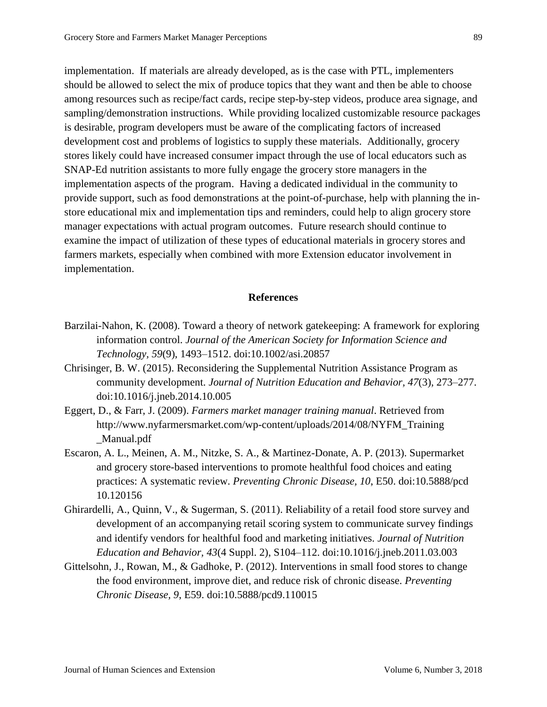implementation. If materials are already developed, as is the case with PTL, implementers should be allowed to select the mix of produce topics that they want and then be able to choose among resources such as recipe/fact cards, recipe step-by-step videos, produce area signage, and sampling/demonstration instructions. While providing localized customizable resource packages is desirable, program developers must be aware of the complicating factors of increased development cost and problems of logistics to supply these materials. Additionally, grocery stores likely could have increased consumer impact through the use of local educators such as SNAP-Ed nutrition assistants to more fully engage the grocery store managers in the implementation aspects of the program. Having a dedicated individual in the community to provide support, such as food demonstrations at the point-of-purchase, help with planning the instore educational mix and implementation tips and reminders, could help to align grocery store manager expectations with actual program outcomes. Future research should continue to examine the impact of utilization of these types of educational materials in grocery stores and farmers markets, especially when combined with more Extension educator involvement in implementation.

## **References**

- Barzilai-Nahon, K. (2008). Toward a theory of network gatekeeping: A framework for exploring information control. *Journal of the American Society for Information Science and Technology, 59*(9), 1493–1512. doi:10.1002/asi.20857
- Chrisinger, B. W. (2015). Reconsidering the Supplemental Nutrition Assistance Program as community development. *Journal of Nutrition Education and Behavior, 47*(3), 273–277. doi:10.1016/j.jneb.2014.10.005
- Eggert, D., & Farr, J. (2009). *Farmers market manager training manual*. Retrieved from http://www.nyfarmersmarket.com/wp-content/uploads/2014/08/NYFM\_Training \_Manual.pdf
- Escaron, A. L., Meinen, A. M., Nitzke, S. A., & Martinez-Donate, A. P. (2013). Supermarket and grocery store-based interventions to promote healthful food choices and eating practices: A systematic review. *Preventing Chronic Disease, 10*, E50. doi:10.5888/pcd 10.120156
- Ghirardelli, A., Quinn, V., & Sugerman, S. (2011). Reliability of a retail food store survey and development of an accompanying retail scoring system to communicate survey findings and identify vendors for healthful food and marketing initiatives. *Journal of Nutrition Education and Behavior, 43*(4 Suppl. 2), S104–112. doi:10.1016/j.jneb.2011.03.003
- Gittelsohn, J., Rowan, M., & Gadhoke, P. (2012). Interventions in small food stores to change the food environment, improve diet, and reduce risk of chronic disease. *Preventing Chronic Disease, 9*, E59. doi:10.5888/pcd9.110015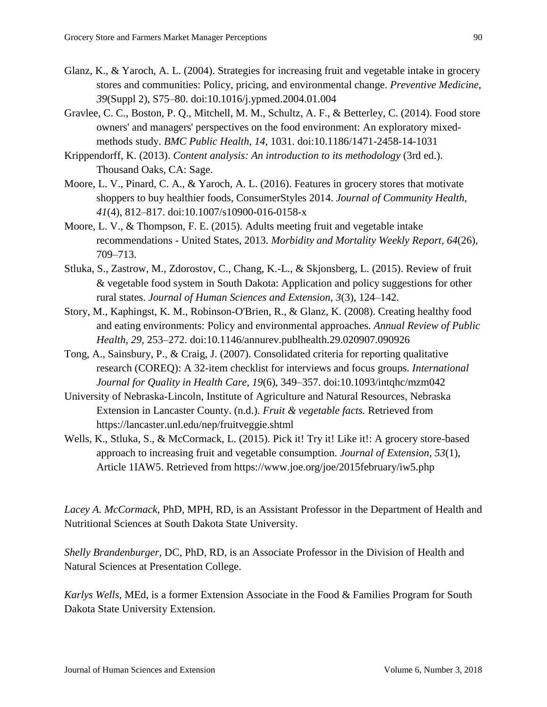- Glanz, K., & Yaroch, A. L. (2004). Strategies for increasing fruit and vegetable intake in grocery stores and communities: Policy, pricing, and environmental change. *Preventive Medicine, 39*(Suppl 2), S75–80. doi:10.1016/j.ypmed.2004.01.004
- Gravlee, C. C., Boston, P. Q., Mitchell, M. M., Schultz, A. F., & Betterley, C. (2014). Food store owners' and managers' perspectives on the food environment: An exploratory mixedmethods study. *BMC Public Health, 14*, 1031. doi:10.1186/1471-2458-14-1031
- Krippendorff, K. (2013). *Content analysis: An introduction to its methodology* (3rd ed.). Thousand Oaks, CA: Sage.
- Moore, L. V., Pinard, C. A., & Yaroch, A. L. (2016). Features in grocery stores that motivate shoppers to buy healthier foods, ConsumerStyles 2014. *Journal of Community Health*, *41*(4), 812–817. doi:10.1007/s10900-016-0158-x
- Moore, L. V., & Thompson, F. E. (2015). Adults meeting fruit and vegetable intake recommendations - United States, 2013. *Morbidity and Mortality Weekly Report, 64*(26), 709–713.
- Stluka, S., Zastrow, M., Zdorostov, C., Chang, K.-L., & Skjonsberg, L. (2015). Review of fruit & vegetable food system in South Dakota: Application and policy suggestions for other rural states. *Journal of Human Sciences and Extension, 3*(3), 124–142.
- Story, M., Kaphingst, K. M., Robinson-O'Brien, R., & Glanz, K. (2008). Creating healthy food and eating environments: Policy and environmental approaches. *Annual Review of Public Health, 29*, 253–272. doi:10.1146/annurev.publhealth.29.020907.090926
- Tong, A., Sainsbury, P., & Craig, J. (2007). Consolidated criteria for reporting qualitative research (COREQ): A 32-item checklist for interviews and focus groups. *International Journal for Quality in Health Care, 19*(6), 349–357. doi:10.1093/intqhc/mzm042
- University of Nebraska-Lincoln, Institute of Agriculture and Natural Resources, Nebraska Extension in Lancaster County. (n.d.). *Fruit & vegetable facts.* Retrieved from https://lancaster.unl.edu/nep/fruitveggie.shtml
- Wells, K., Stluka, S., & McCormack, L. (2015). Pick it! Try it! Like it!: A grocery store-based approach to increasing fruit and vegetable consumption. *Journal of Extension, 53*(1), Article 1IAW5. Retrieved from https://www.joe.org/joe/2015february/iw5.php

*Lacey A. McCormack*, PhD, MPH, RD, is an Assistant Professor in the Department of Health and Nutritional Sciences at South Dakota State University.

*Shelly Brandenburger*, DC, PhD, RD, is an Associate Professor in the Division of Health and Natural Sciences at Presentation College.

*Karlys Wells*, MEd, is a former Extension Associate in the Food & Families Program for South Dakota State University Extension.